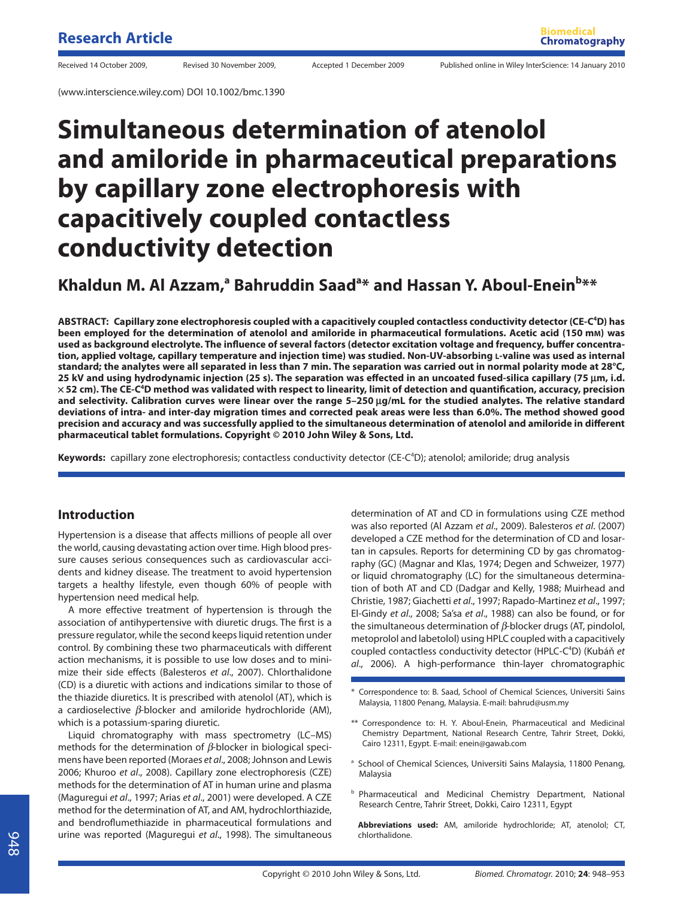(www.interscience.wiley.com) DOI 10.1002/bmc.1390

# **Simultaneous determination of atenolol and amiloride in pharmaceutical preparations by capillary zone electrophoresis with capacitively coupled contactless conductivity detection**

## Khaldun M. Al Azzam,<sup>a</sup> Bahruddin Saad<sup>a</sup>\* and Hassan Y. Aboul-Enein<sup>b</sup>\*\*

**ABSTRACT: Capillary zone electrophoresis coupled with a capacitively coupled contactless conductivity detector (CE-C4 D) has been employed for the determination of atenolol and amiloride in pharmaceutical formulations. Acetic acid (150 mM) was**  used as background electrolyte. The influence of several factors (detector excitation voltage and frequency, buffer concentra**tion, applied voltage, capillary temperature and injection time) was studied. Non-UV-absorbing L-valine was used as internal standard; the analytes were all separated in less than 7 min. The separation was carried out in normal polarity mode at 28°C, 25 kV and using hydrodynamic injection (25 s). The separation was effected in an uncoated fused-silica capillary (75 μm, i.d.**  $\times$  52 cm). The CE-C<sup>4</sup>D method was validated with respect to linearity, limit of detection and quantification, accuracy, precision **and selectivity. Calibration curves were linear over the range 5–250 μg/mL for the studied analytes. The relative standard deviations of intra- and inter-day migration times and corrected peak areas were less than 6.0%. The method showed good**  precision and accuracy and was successfully applied to the simultaneous determination of atenolol and amiloride in different **pharmaceutical tablet formulations. Copyright © 2010 John Wiley & Sons, Ltd.**

Keywords: capillary zone electrophoresis; contactless conductivity detector (CE-C<sup>4</sup>D); atenolol; amiloride; drug analysis

### **Introduction**

Hypertension is a disease that affects millions of people all over the world, causing devastating action over time. High blood pressure causes serious consequences such as cardiovascular accidents and kidney disease. The treatment to avoid hypertension targets a healthy lifestyle, even though 60% of people with hypertension need medical help.

A more effective treatment of hypertension is through the association of antihypertensive with diuretic drugs. The first is a pressure regulator, while the second keeps liquid retention under control. By combining these two pharmaceuticals with different action mechanisms, it is possible to use low doses and to minimize their side effects (Balesteros et al., 2007). Chlorthalidone (CD) is a diuretic with actions and indications similar to those of the thiazide diuretics. It is prescribed with atenolol (AT), which is a cardioselective *β*-blocker and amiloride hydrochloride (AM), which is a potassium-sparing diuretic.

Liquid chromatography with mass spectrometry (LC–MS) methods for the determination of *β*-blocker in biological specimens have been reported (Moraes et al., 2008; Johnson and Lewis 2006; Khuroo et al., 2008). Capillary zone electrophoresis (CZE) methods for the determination of AT in human urine and plasma (Maguregui et al., 1997; Arias et al., 2001) were developed. A CZE method for the determination of AT, and AM, hydrochlorthiazide, and bendroflumethiazide in pharmaceutical formulations and urine was reported (Maguregui et al., 1998). The simultaneous

determination of AT and CD in formulations using CZE method was also reported (Al Azzam et al., 2009). Balesteros et al. (2007) developed a CZE method for the determination of CD and losartan in capsules. Reports for determining CD by gas chromatography (GC) (Magnar and Klas, 1974; Degen and Schweizer, 1977) or liquid chromatography (LC) for the simultaneous determination of both AT and CD (Dadgar and Kelly, 1988; Muirhead and Christie, 1987; Giachetti et al., 1997; Rapado-Martinez et al., 1997; El-Gindy et al., 2008; Sa'sa et al., 1988) can also be found, or for the simultaneous determination of *β*-blocker drugs (AT, pindolol, metoprolol and labetolol) using HPLC coupled with a capacitively coupled contactless conductivity detector (HPLC-C<sup>4</sup>D) (Kubáň et al., 2006). A high-performance thin-layer chromatographic

- \* Correspondence to: B. Saad, School of Chemical Sciences, Universiti Sains Malaysia, 11800 Penang, Malaysia. E-mail: bahrud@usm.my
- \*\* Correspondence to: H. Y. Aboul-Enein, Pharmaceutical and Medicinal Chemistry Department, National Research Centre, Tahrir Street, Dokki, Cairo 12311, Egypt. E-mail: enein@gawab.com
- <sup>a</sup> School of Chemical Sciences, Universiti Sains Malaysia, 11800 Penang, Malaysia
- **b** Pharmaceutical and Medicinal Chemistry Department, National Research Centre, Tahrir Street, Dokki, Cairo 12311, Egypt

**Abbreviations used:** AM, amiloride hydrochloride; AT, atenolol; CT, chlorthalidone.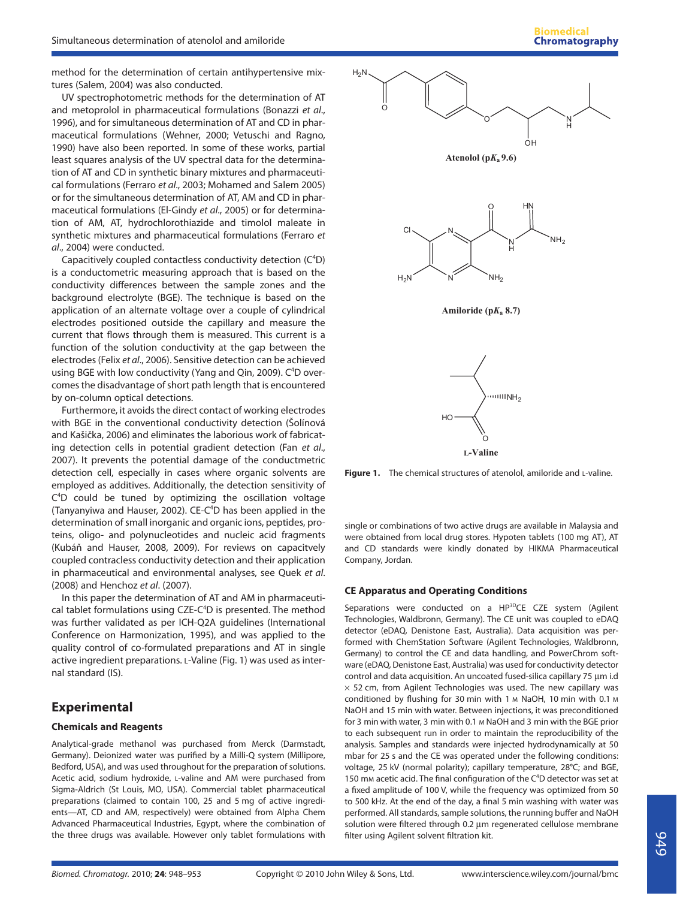method for the determination of certain antihypertensive mixtures (Salem, 2004) was also conducted.

UV spectrophotometric methods for the determination of AT and metoprolol in pharmaceutical formulations (Bonazzi et al., 1996), and for simultaneous determination of AT and CD in pharmaceutical formulations (Wehner, 2000; Vetuschi and Ragno, 1990) have also been reported. In some of these works, partial least squares analysis of the UV spectral data for the determination of AT and CD in synthetic binary mixtures and pharmaceutical formulations (Ferraro et al., 2003; Mohamed and Salem 2005) or for the simultaneous determination of AT, AM and CD in pharmaceutical formulations (El-Gindy et al., 2005) or for determination of AM, AT, hydrochlorothiazide and timolol maleate in synthetic mixtures and pharmaceutical formulations (Ferraro et al., 2004) were conducted.

Capacitively coupled contactless conductivity detection (C<sup>4</sup>D) is a conductometric measuring approach that is based on the conductivity differences between the sample zones and the background electrolyte (BGE). The technique is based on the application of an alternate voltage over a couple of cylindrical electrodes positioned outside the capillary and measure the current that flows through them is measured. This current is a function of the solution conductivity at the gap between the electrodes (Felix et al., 2006). Sensitive detection can be achieved using BGE with low conductivity (Yang and Qin, 2009). C<sup>4</sup>D overcomes the disadvantage of short path length that is encountered by on-column optical detections.

Furthermore, it avoids the direct contact of working electrodes with BGE in the conventional conductivity detection (Šolínová and Kašička, 2006) and eliminates the laborious work of fabricating detection cells in potential gradient detection (Fan et al., 2007). It prevents the potential damage of the conductmetric detection cell, especially in cases where organic solvents are employed as additives. Additionally, the detection sensitivity of C<sup>4</sup>D could be tuned by optimizing the oscillation voltage (Tanyanyiwa and Hauser, 2002). CE-C<sup>4</sup>D has been applied in the determination of small inorganic and organic ions, peptides, proteins, oligo- and polynucleotides and nucleic acid fragments (Kubáň and Hauser, 2008, 2009). For reviews on capacitvely coupled contracless conductivity detection and their application in pharmaceutical and environmental analyses, see Quek et al. (2008) and Henchoz et al. (2007).

In this paper the determination of AT and AM in pharmaceutical tablet formulations using CZE-C<sup>4</sup>D is presented. The method was further validated as per ICH-Q2A guidelines (International Conference on Harmonization, 1995), and was applied to the quality control of co-formulated preparations and AT in single active ingredient preparations. L-Valine (Fig. 1) was used as internal standard (IS).

## **Experimental**

#### **Chemicals and Reagents**

Analytical-grade methanol was purchased from Merck (Darmstadt, Germany). Deionized water was purified by a Milli-Q system (Millipore, Bedford, USA), and was used throughout for the preparation of solutions. Acetic acid, sodium hydroxide, L-valine and AM were purchased from Sigma-Aldrich (St Louis, MO, USA). Commercial tablet pharmaceutical preparations (claimed to contain 100, 25 and 5 mg of active ingredients—AT, CD and AM, respectively) were obtained from Alpha Chem Advanced Pharmaceutical Industries, Egypt, where the combination of the three drugs was available. However only tablet formulations with



**Figure 1.** The chemical structures of atenolol, amiloride and L-valine.

single or combinations of two active drugs are available in Malaysia and were obtained from local drug stores. Hypoten tablets (100 mg AT), AT and CD standards were kindly donated by HIKMA Pharmaceutical Company, Jordan.

#### **CE Apparatus and Operating Conditions**

Separations were conducted on a HP<sup>3D</sup>CE CZE system (Agilent Technologies, Waldbronn, Germany). The CE unit was coupled to eDAQ detector (eDAQ, Denistone East, Australia). Data acquisition was performed with ChemStation Software (Agilent Technologies, Waldbronn, Germany) to control the CE and data handling, and PowerChrom software (eDAQ, Denistone East, Australia) was used for conductivity detector control and data acquisition. An uncoated fused-silica capillary 75 μm i.d  $\times$  52 cm, from Agilent Technologies was used. The new capillary was conditioned by flushing for 30 min with 1 M NaOH, 10 min with 0.1 M NaOH and 15 min with water. Between injections, it was preconditioned for 3 min with water, 3 min with 0.1 M NaOH and 3 min with the BGE prior to each subsequent run in order to maintain the reproducibility of the analysis. Samples and standards were injected hydrodynamically at 50 mbar for 25 s and the CE was operated under the following conditions: voltage, 25 kV (normal polarity); capillary temperature, 28°C; and BGE, 150 mm acetic acid. The final configuration of the  $C<sup>4</sup>D$  detector was set at a fixed amplitude of 100 V, while the frequency was optimized from 50 to 500 kHz. At the end of the day, a final 5 min washing with water was performed. All standards, sample solutions, the running buffer and NaOH solution were filtered through 0.2 μm regenerated cellulose membrane filter using Agilent solvent filtration kit.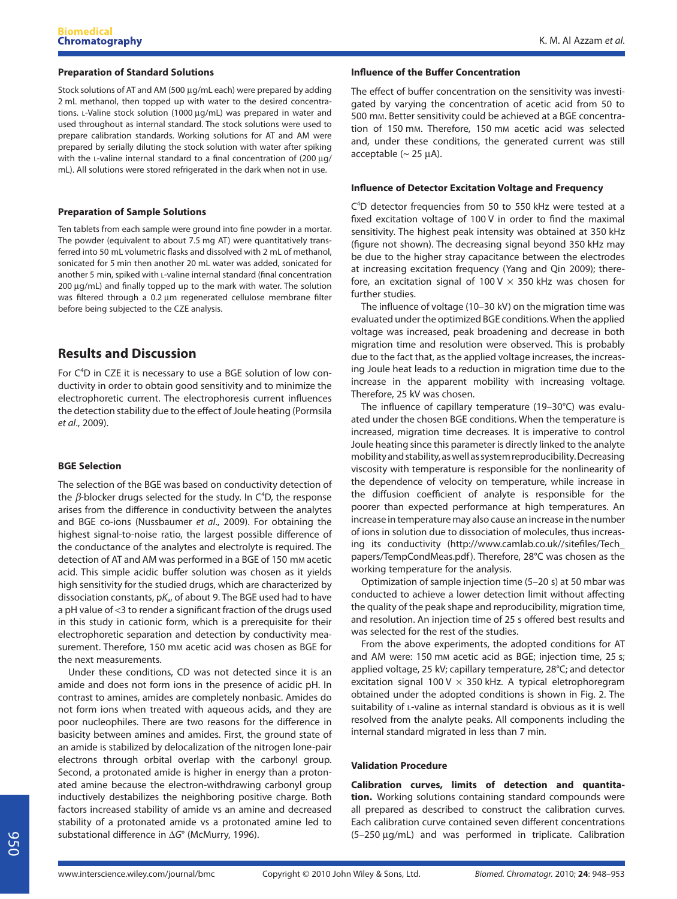#### **Preparation of Standard Solutions**

Stock solutions of AT and AM (500 μg/mL each) were prepared by adding 2 mL methanol, then topped up with water to the desired concentrations. L-Valine stock solution (1000 μg/mL) was prepared in water and used throughout as internal standard. The stock solutions were used to prepare calibration standards. Working solutions for AT and AM were prepared by serially diluting the stock solution with water after spiking with the L-valine internal standard to a final concentration of (200 μg/ mL). All solutions were stored refrigerated in the dark when not in use.

#### **Preparation of Sample Solutions**

Ten tablets from each sample were ground into fine powder in a mortar. The powder (equivalent to about 7.5 mg AT) were quantitatively transferred into 50 mL volumetric flasks and dissolved with 2 mL of methanol, sonicated for 5 min then another 20 mL water was added, sonicated for another 5 min, spiked with L-valine internal standard (final concentration 200 μg/mL) and finally topped up to the mark with water. The solution was filtered through a 0.2 μm regenerated cellulose membrane filter before being subjected to the CZE analysis.

## **Results and Discussion**

For C<sup>4</sup>D in CZE it is necessary to use a BGE solution of low conductivity in order to obtain good sensitivity and to minimize the electrophoretic current. The electrophoresis current influences the detection stability due to the effect of Joule heating (Pormsila et al., 2009).

#### **BGE Selection**

The selection of the BGE was based on conductivity detection of the *β*-blocker drugs selected for the study. In C<sup>4</sup>D, the response arises from the difference in conductivity between the analytes and BGE co-ions (Nussbaumer et al., 2009). For obtaining the highest signal-to-noise ratio, the largest possible difference of the conductance of the analytes and electrolyte is required. The detection of AT and AM was performed in a BGE of 150 mM acetic acid. This simple acidic buffer solution was chosen as it yields high sensitivity for the studied drugs, which are characterized by dissociation constants,  $pK<sub>a</sub>$ , of about 9. The BGE used had to have a pH value of <3 to render a significant fraction of the drugs used in this study in cationic form, which is a prerequisite for their electrophoretic separation and detection by conductivity measurement. Therefore, 150 mM acetic acid was chosen as BGE for the next measurements.

Under these conditions, CD was not detected since it is an amide and does not form ions in the presence of acidic pH. In contrast to amines, amides are completely nonbasic. Amides do not form ions when treated with aqueous acids, and they are poor nucleophiles. There are two reasons for the difference in basicity between amines and amides. First, the ground state of an amide is stabilized by delocalization of the nitrogen lone-pair electrons through orbital overlap with the carbonyl group. Second, a protonated amide is higher in energy than a protonated amine because the electron-withdrawing carbonyl group inductively destabilizes the neighboring positive charge. Both factors increased stability of amide vs an amine and decreased stability of a protonated amide vs a protonated amine led to substational difference in  $\Delta G^{\circ}$  (McMurry, 1996).

#### **Influence of the Buffer Concentration**

The effect of buffer concentration on the sensitivity was investigated by varying the concentration of acetic acid from 50 to 500 mM. Better sensitivity could be achieved at a BGE concentration of 150 mM. Therefore, 150 mM acetic acid was selected and, under these conditions, the generated current was still acceptable  $({\sim 25 \mu A}).$ 

#### **Influence of Detector Excitation Voltage and Frequency**

C<sup>4</sup>D detector frequencies from 50 to 550 kHz were tested at a fixed excitation voltage of  $100$  V in order to find the maximal sensitivity. The highest peak intensity was obtained at 350 kHz (figure not shown). The decreasing signal beyond 350 kHz may be due to the higher stray capacitance between the electrodes at increasing excitation frequency (Yang and Qin 2009); therefore, an excitation signal of 100 V  $\times$  350 kHz was chosen for further studies.

The influence of voltage (10–30 kV) on the migration time was evaluated under the optimized BGE conditions. When the applied voltage was increased, peak broadening and decrease in both migration time and resolution were observed. This is probably due to the fact that, as the applied voltage increases, the increasing Joule heat leads to a reduction in migration time due to the increase in the apparent mobility with increasing voltage. Therefore, 25 kV was chosen.

The influence of capillary temperature (19-30°C) was evaluated under the chosen BGE conditions. When the temperature is increased, migration time decreases. It is imperative to control Joule heating since this parameter is directly linked to the analyte mobility and stability, as well as system reproducibility. Decreasing viscosity with temperature is responsible for the nonlinearity of the dependence of velocity on temperature, while increase in the diffusion coefficient of analyte is responsible for the poorer than expected performance at high temperatures. An increase in temperature may also cause an increase in the number of ions in solution due to dissociation of molecules, thus increasing its conductivity (http://www.camlab.co.uk//sitefiles/Tech\_ papers/TempCondMeas.pdf). Therefore, 28°C was chosen as the working temperature for the analysis.

Optimization of sample injection time (5–20 s) at 50 mbar was conducted to achieve a lower detection limit without affecting the quality of the peak shape and reproducibility, migration time, and resolution. An injection time of 25 s offered best results and was selected for the rest of the studies.

From the above experiments, the adopted conditions for AT and AM were: 150 mm acetic acid as BGE; injection time, 25 s; applied voltage, 25 kV; capillary temperature, 28°C; and detector excitation signal 100 V  $\times$  350 kHz. A typical eletrophoregram obtained under the adopted conditions is shown in Fig. 2. The suitability of L-valine as internal standard is obvious as it is well resolved from the analyte peaks. All components including the internal standard migrated in less than 7 min.

#### **Validation Procedure**

**Calibration curves, limits of detection and quantitation.** Working solutions containing standard compounds were all prepared as described to construct the calibration curves. Each calibration curve contained seven different concentrations (5–250 μg/mL) and was performed in triplicate. Calibration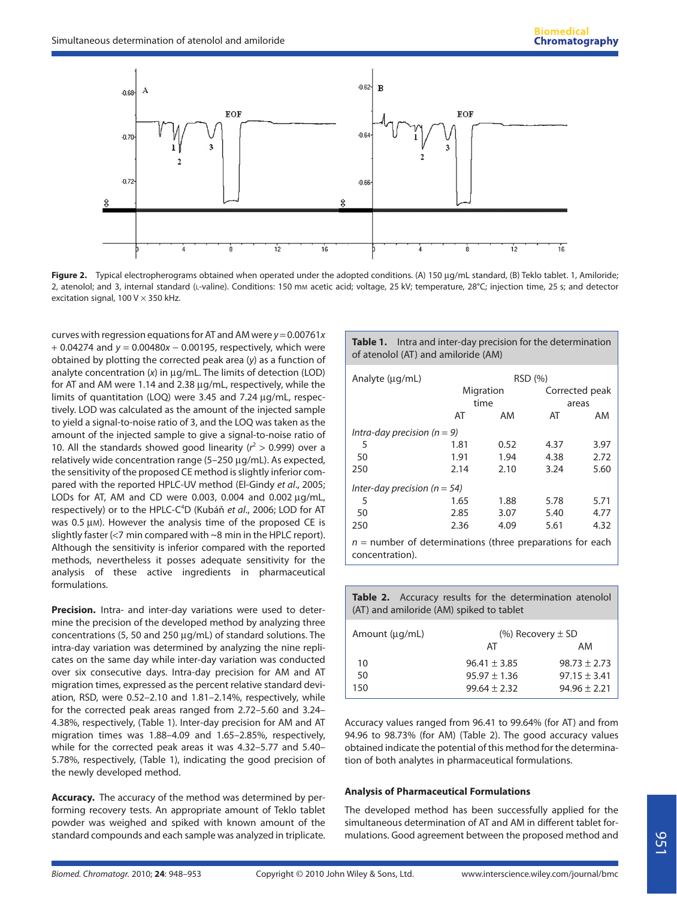

**Figure 2.** Typical electropherograms obtained when operated under the adopted conditions. (A) 150 μg/mL standard, (B) Teklo tablet. 1, Amiloride; 2, atenolol; and 3, internal standard (L-valine). Conditions: 150 mm acetic acid; voltage, 25 kV; temperature, 28°C; injection time, 25 s; and detector excitation signal, 100 V  $\times$  350 kHz.

curves with regression equations for AT and AM were  $y = 0.00761x$ + 0.04274 and  $y = 0.00480x - 0.00195$ , respectively, which were obtained by plotting the corrected peak area (y) as a function of analyte concentration (x) in μg/mL. The limits of detection (LOD) for AT and AM were 1.14 and 2.38 μg/mL, respectively, while the limits of quantitation (LOQ) were 3.45 and 7.24 μg/mL, respectively. LOD was calculated as the amount of the injected sample to yield a signal-to-noise ratio of 3, and the LOQ was taken as the amount of the injected sample to give a signal-to-noise ratio of 10. All the standards showed good linearity ( $r^2 > 0.999$ ) over a relatively wide concentration range (5–250 μg/mL). As expected, the sensitivity of the proposed CE method is slightly inferior compared with the reported HPLC-UV method (El-Gindy et al., 2005; LODs for AT, AM and CD were 0.003, 0.004 and 0.002 μg/mL, respectively) or to the HPLC-C<sup>4</sup>D (Kubáň et al., 2006; LOD for AT was 0.5 μM). However the analysis time of the proposed CE is slightly faster (<7 min compared with ~8 min in the HPLC report). Although the sensitivity is inferior compared with the reported methods, nevertheless it posses adequate sensitivity for the analysis of these active ingredients in pharmaceutical formulations.

**Precision.** Intra- and inter-day variations were used to determine the precision of the developed method by analyzing three concentrations (5, 50 and 250 μg/mL) of standard solutions. The intra-day variation was determined by analyzing the nine replicates on the same day while inter-day variation was conducted over six consecutive days. Intra-day precision for AM and AT migration times, expressed as the percent relative standard deviation, RSD, were 0.52–2.10 and 1.81–2.14%, respectively, while for the corrected peak areas ranged from 2.72–5.60 and 3.24– 4.38%, respectively, (Table 1). Inter-day precision for AM and AT migration times was 1.88–4.09 and 1.65–2.85%, respectively, while for the corrected peak areas it was 4.32–5.77 and 5.40– 5.78%, respectively, (Table 1), indicating the good precision of the newly developed method.

**Accuracy.** The accuracy of the method was determined by performing recovery tests. An appropriate amount of Teklo tablet powder was weighed and spiked with known amount of the standard compounds and each sample was analyzed in triplicate.

**Table 1.** Intra and inter-day precision for the determination of atenolol (AT) and amiloride (AM)

| Analyte (µg/mL)                                                                | RSD (%)   |      |                |      |  |  |
|--------------------------------------------------------------------------------|-----------|------|----------------|------|--|--|
|                                                                                | Migration |      | Corrected peak |      |  |  |
|                                                                                | time      |      | areas          |      |  |  |
|                                                                                | AT        | AM   | AT             | AM   |  |  |
| Intra-day precision ( $n = 9$ )                                                |           |      |                |      |  |  |
| 5                                                                              | 1.81      | 0.52 | 4.37           | 3.97 |  |  |
| 50                                                                             | 1.91      | 1.94 | 4.38           | 2.72 |  |  |
| 250                                                                            | 2.14      | 2.10 | 3.24           | 5.60 |  |  |
| Inter-day precision ( $n = 54$ )                                               |           |      |                |      |  |  |
| 5                                                                              | 1.65      | 1.88 | 5.78           | 5.71 |  |  |
| 50                                                                             | 2.85      | 3.07 | 5.40           | 4.77 |  |  |
| 250                                                                            | 2.36      | 4.09 | 5.61           | 4.32 |  |  |
| $n =$ number of determinations (three preparations for each<br>concentration). |           |      |                |      |  |  |

**Table 2.** Accuracy results for the determination atenolol (AT) and amiloride (AM) spiked to tablet

| Amount (µg/mL) | (%) Recovery $\pm$ SD |                  |  |  |
|----------------|-----------------------|------------------|--|--|
|                | AT                    | AM               |  |  |
| 10             | $96.41 \pm 3.85$      | $98.73 \pm 2.73$ |  |  |
| 50             | $95.97 + 1.36$        | $97.15 + 3.41$   |  |  |
| 150            | $99.64 + 2.32$        | $94.96 + 2.21$   |  |  |

Accuracy values ranged from 96.41 to 99.64% (for AT) and from 94.96 to 98.73% (for AM) (Table 2). The good accuracy values obtained indicate the potential of this method for the determination of both analytes in pharmaceutical formulations.

#### **Analysis of Pharmaceutical Formulations**

The developed method has been successfully applied for the simultaneous determination of AT and AM in different tablet formulations. Good agreement between the proposed method and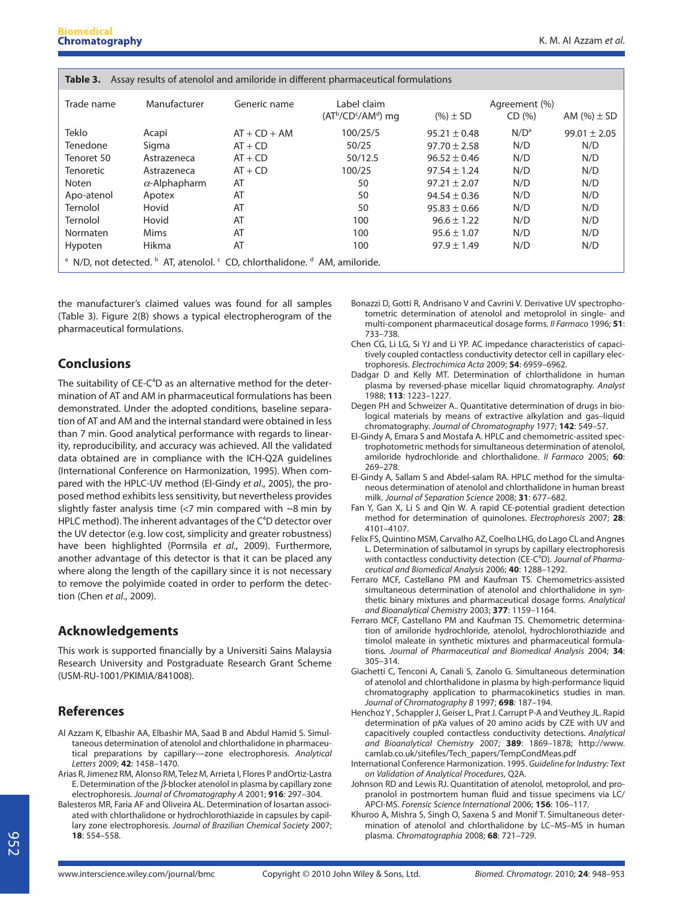| Assay results of atenolol and amiloride in different pharmaceutical formulations<br>Table 3.                            |                      |                |                                      |                  |                         |                  |  |  |  |
|-------------------------------------------------------------------------------------------------------------------------|----------------------|----------------|--------------------------------------|------------------|-------------------------|------------------|--|--|--|
| Trade name                                                                                                              | Manufacturer         | Generic name   | Label claim<br>$(AT^b/CD^c/AM^d)$ mg | $(%)\pm SD$      | Agreement (%)<br>CD (%) | AM $(\%)\pm SD$  |  |  |  |
| Teklo                                                                                                                   | Acapi                | $AT + CD + AM$ | 100/25/5                             | $95.21 \pm 0.48$ | N/D <sup>a</sup>        | $99.01 \pm 2.05$ |  |  |  |
| Tenedone                                                                                                                | Sigma                | $AT + CD$      | 50/25                                | $97.70 \pm 2.58$ | N/D                     | N/D              |  |  |  |
| Tenoret 50                                                                                                              | Astrazeneca          | $AT + CD$      | 50/12.5                              | $96.52 \pm 0.46$ | N/D                     | N/D              |  |  |  |
| <b>Tenoretic</b>                                                                                                        | Astrazeneca          | $AT + CD$      | 100/25                               | $97.54 \pm 1.24$ | N/D                     | N/D              |  |  |  |
| Noten                                                                                                                   | $\alpha$ -Alphapharm | AT             | 50                                   | $97.21 \pm 2.07$ | N/D                     | N/D              |  |  |  |
| Apo-atenol                                                                                                              | Apotex               | AT             | 50                                   | $94.54 \pm 0.36$ | N/D                     | N/D              |  |  |  |
| Ternolol                                                                                                                | Hovid                | AT             | 50                                   | $95.83 \pm 0.66$ | N/D                     | N/D              |  |  |  |
| Ternolol                                                                                                                | Hovid                | AT             | 100                                  | $96.6 \pm 1.22$  | N/D                     | N/D              |  |  |  |
| Normaten                                                                                                                | Mims                 | AT             | 100                                  | $95.6 \pm 1.07$  | N/D                     | N/D              |  |  |  |
| Hypoten                                                                                                                 | Hikma                | AT             | 100                                  | $97.9 \pm 1.49$  | N/D                     | N/D              |  |  |  |
| <sup>a</sup> N/D, not detected. <sup>b</sup> AT, atenolol, <sup>c</sup> CD, chlorthalidone. <sup>d</sup> AM, amiloride. |                      |                |                                      |                  |                         |                  |  |  |  |

the manufacturer's claimed values was found for all samples (Table 3). Figure 2(B) shows a typical electropherogram of the pharmaceutical formulations.

## **Conclusions**

The suitability of CE-C<sup>4</sup>D as an alternative method for the determination of AT and AM in pharmaceutical formulations has been demonstrated. Under the adopted conditions, baseline separation of AT and AM and the internal standard were obtained in less than 7 min. Good analytical performance with regards to linearity, reproducibility, and accuracy was achieved. All the validated data obtained are in compliance with the ICH-Q2A guidelines (International Conference on Harmonization, 1995). When compared with the HPLC-UV method (El-Gindy et al., 2005), the proposed method exhibits less sensitivity, but nevertheless provides slightly faster analysis time (<7 min compared with ~8 min by HPLC method). The inherent advantages of the C<sup>4</sup>D detector over the UV detector (e.g. low cost, simplicity and greater robustness) have been highlighted (Pormsila et al., 2009). Furthermore, another advantage of this detector is that it can be placed any where along the length of the capillary since it is not necessary to remove the polyimide coated in order to perform the detection (Chen et al., 2009).

## **Acknowledgements**

This work is supported financially by a Universiti Sains Malaysia Research University and Postgraduate Research Grant Scheme (USM-RU-1001/PKIMIA/841008).

## **References**

- Al Azzam K, Elbashir AA, Elbashir MA, Saad B and Abdul Hamid S. Simultaneous determination of atenolol and chlorthalidone in pharmaceutical preparations by capillary—zone electrophoresis. Analytical Letters 2009; **42**: 1458–1470.
- Arias R, Jimenez RM, Alonso RM, Telez M, Arrieta I, Flores P andOrtiz-Lastra E. Determination of the *β*-blocker atenolol in plasma by capillary zone electrophoresis. Journal of Chromatography A 2001; **916**: 297–304.
- Balesteros MR, Faria AF and Oliveira AL. Determination of losartan associated with chlorthalidone or hydrochlorothiazide in capsules by capillary zone electrophoresis. Journal of Brazilian Chemical Society 2007; **18**: 554–558.
- Bonazzi D, Gotti R, Andrisano V and Cavrini V. Derivative UV spectrophotometric determination of atenolol and metoprolol in single- and multi-component pharmaceutical dosage forms. II Farmaco 1996; **51**: 733–738.
- Chen CG, Li LG, Si YJ and Li YP. AC impedance characteristics of capacitively coupled contactless conductivity detector cell in capillary electrophoresis. Electrochimica Acta 2009; **54**: 6959–6962.
- Dadgar D and Kelly MT. Determination of chlorthalidone in human plasma by reversed-phase micellar liquid chromatography. Analyst 1988; **113**: 1223–1227.
- Degen PH and Schweizer A.. Quantitative determination of drugs in biological materials by means of extractive alkylation and gas–liquid chromatography. Journal of Chromatography 1977; **142**: 549–57.
- El-Gindy A, Emara S and Mostafa A. HPLC and chemometric-assited spectrophotometric methods for simultaneous determination of atenolol, amiloride hydrochloride and chlorthalidone. II Farmaco 2005; **60**: 269–278.
- El-Gindy A, Sallam S and Abdel-salam RA. HPLC method for the simultaneous determination of atenolol and chlorthalidone in human breast milk. Journal of Separation Science 2008; **31**: 677–682.
- Fan Y, Gan X, Li S and Qin W. A rapid CE-potential gradient detection method for determination of quinolones. Electrophoresis 2007; **28**: 4101–4107.
- Felix FS, Quintino MSM, Carvalho AZ, Coelho LHG, do Lago CL and Angnes L. Determination of salbutamol in syrups by capillary electrophoresis with contactless conductivity detection (CE-C<sup>4</sup>D). Journal of Pharmaceutical and Biomedical Analysis 2006; **40**: 1288–1292.
- Ferraro MCF, Castellano PM and Kaufman TS. Chemometrics-assisted simultaneous determination of atenolol and chlorthalidone in synthetic binary mixtures and pharmaceutical dosage forms. Analytical and Bioanalytical Chemistry 2003; **377**: 1159–1164.
- Ferraro MCF, Castellano PM and Kaufman TS. Chemometric determination of amiloride hydrochloride, atenolol, hydrochlorothiazide and timolol maleate in synthetic mixtures and pharmaceutical formulations. Journal of Pharmaceutical and Biomedical Analysis 2004; **34**: 305–314.
- Giachetti C, Tenconi A, Canali S, Zanolo G. Simultaneous determination of atenolol and chlorthalidone in plasma by high-performance liquid chromatography application to pharmacokinetics studies in man. Journal of Chromatography B 1997; **698**: 187–194.
- Henchoz Y , Schappler J, Geiser L, Prat J. Carrupt P-A and Veuthey JL. Rapid determination of pKa values of 20 amino acids by CZE with UV and capacitively coupled contactless conductivity detections. Analytical and Bioanalytical Chemistry 2007; **389**: 1869–1878; http://www. camlab.co.uk/sitefiles/Tech\_papers/TempCondMeas.pdf
- International Conference Harmonization. 1995. Guideline for Industry: Text on Validation of Analytical Procedures, Q2A.
- Johnson RD and Lewis RJ. Quantitation of atenolol, metoprolol, and propranolol in postmortem human fluid and tissue specimens via LC/ APCI-MS. Forensic Science International 2006; **156**: 106–117.
- Khuroo A, Mishra S, Singh O, Saxena S and Monif T. Simultaneous determination of atenolol and chlorthalidone by LC–MS–MS in human plasma. Chromatographia 2008; **68**: 721–729.